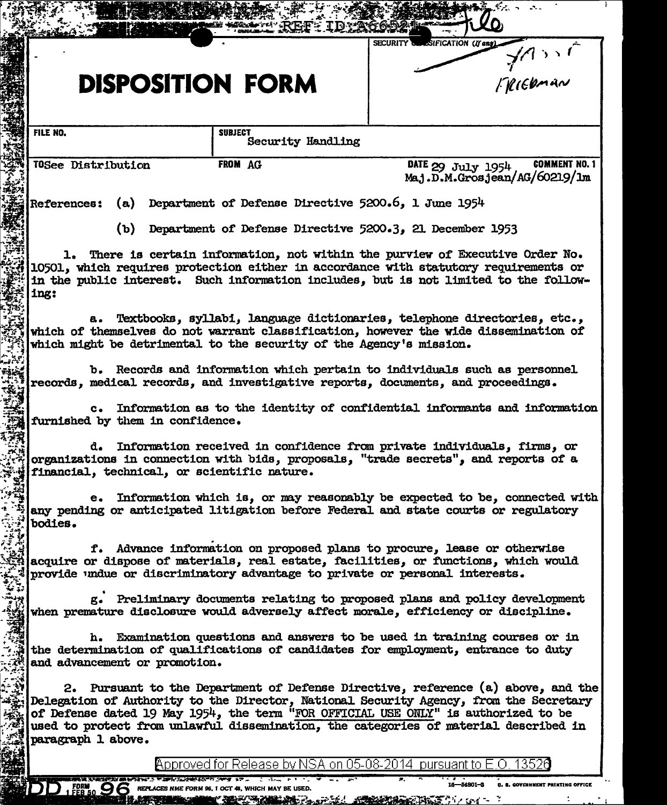|                                                                                                                                                                                                                                                                                                                                                                                                                                              | $x \leftrightarrow -$                                                                                                                                               |  |
|----------------------------------------------------------------------------------------------------------------------------------------------------------------------------------------------------------------------------------------------------------------------------------------------------------------------------------------------------------------------------------------------------------------------------------------------|---------------------------------------------------------------------------------------------------------------------------------------------------------------------|--|
| <b>DISPOSITION FORM</b>                                                                                                                                                                                                                                                                                                                                                                                                                      | SECURITY SureSiFICATION (If any)<br>- JASSE                                                                                                                         |  |
| FILE NO.<br><b>SUBJECT</b>                                                                                                                                                                                                                                                                                                                                                                                                                   |                                                                                                                                                                     |  |
|                                                                                                                                                                                                                                                                                                                                                                                                                                              | Security Handling                                                                                                                                                   |  |
| FROM AG<br>TOSee Distribution                                                                                                                                                                                                                                                                                                                                                                                                                | <b>COMMENT NO. 1</b><br>DATE 29 July 1954<br>Maj.D.M.Grosjean/AG/60219/1m                                                                                           |  |
| <b>References:</b>                                                                                                                                                                                                                                                                                                                                                                                                                           | (a) Department of Defense Directive 5200.6, 1 June 1954                                                                                                             |  |
|                                                                                                                                                                                                                                                                                                                                                                                                                                              | (b) Department of Defense Directive 5200.3, 21 December 1953                                                                                                        |  |
| 1. There is certain information, not within the purview of Executive Order No.<br>10501, which requires protection either in accordance with statutory requirements or<br>in the public interest. Such information includes, but is not limited to the follow-<br>ing:<br>a. Textbooks, syllabi, language dictionaries, telephone directories, etc.,<br>which of themselves do not warrant classification, however the wide dissemination of |                                                                                                                                                                     |  |
| which might be detrimental to the security of the Agency's mission.<br>b. Records and information which pertain to individuals such as personnel                                                                                                                                                                                                                                                                                             |                                                                                                                                                                     |  |
| records, medical records, and investigative reports, documents, and proceedings.                                                                                                                                                                                                                                                                                                                                                             |                                                                                                                                                                     |  |
| c. Information as to the identity of confidential informants and information<br>furnished by them in confidence.                                                                                                                                                                                                                                                                                                                             |                                                                                                                                                                     |  |
| d. Information received in confidence from private individuals, firms, or<br>organizations in connection with bids, proposals, "trade secrets", and reports of a<br>financial, technical, or scientific nature.                                                                                                                                                                                                                              |                                                                                                                                                                     |  |
| bodies.                                                                                                                                                                                                                                                                                                                                                                                                                                      | e. Information which is, or may reasonably be expected to be, connected with<br>any pending or anticipated litigation before Federal and state courts or regulatory |  |
| provide undue or discriminatory advantage to private or personal interests.                                                                                                                                                                                                                                                                                                                                                                  | f. Advance information on proposed plans to procure, lease or otherwise<br>acquire or dispose of materials, real estate, facilities, or functions, which would      |  |
| g. Preliminary documents relating to proposed plans and policy development<br>when premature disclosure would adversely affect morale, efficiency or discipline.                                                                                                                                                                                                                                                                             |                                                                                                                                                                     |  |
| h. Examination questions and answers to be used in training courses or in<br>the determination of qualifications of candidates for employment, entrance to duty<br>and advancement or promotion.                                                                                                                                                                                                                                             |                                                                                                                                                                     |  |
| 2. Pursuant to the Department of Defense Directive, reference (a) above, and the<br>Delegation of Authority to the Director, National Security Agency, from the Secretary<br>of Defense dated 19 May 1954, the term "FOR OFFICIAL USE ONLY" is authorized to be<br>used to protect from unlawful dissemination, the categories of material described in<br>paragraph 1 above.                                                                |                                                                                                                                                                     |  |
|                                                                                                                                                                                                                                                                                                                                                                                                                                              | Approved for Release by NSA on 05-08-2014 pursuant to E.O.                                                                                                          |  |
| - 12 r<br>かんしん しょうしゅう アイ・トラン いっしょう アース・ファンス さいこ<br>$D$ $_1$ FORM $_5$ O  C REPLACES NME FOR                                                                                                                                                                                                                                                                                                                                                  | 16-54801-3<br><b>U. S. GOVERNMENT PRINTING OFFICE</b><br>鉱業的な ひょうこう                                                                                                 |  |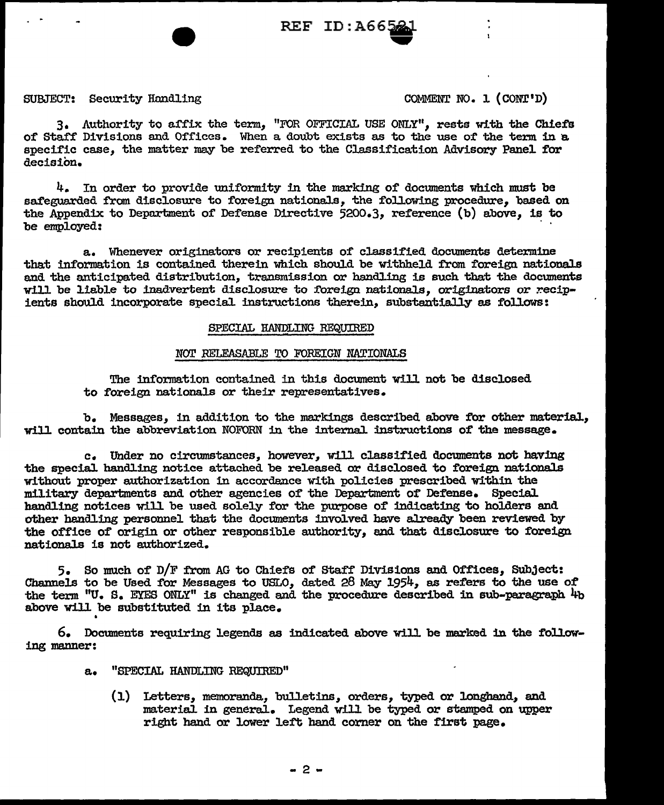$REF$   $ID:AG6$ 

## SUBJECT: Security Handling COMMENT NO. 1 (CONT'D)

3. Authority to affix the term, "FOR OFFICIAL USE ONLY", rests with the Chiefs of Staff Divisions and Offices. When a doubt exists as to the use of the term in a specific case, the matter may be referred to the Classification Advisory Panel for decision.

 $4.$  In order to provide uniformity in the marking of documents which must be safeguarded from disclosure to foreign nationals, the following procedure, based on the Appendix to Depnrtment of Defense Directive 5200.3, reference (b) above, is to be employed:

a. Whenever originators or recipients of classified documents determine that information is contained therein which should be withheld from foreign nationals and the anticipated distribution, transmission or handling is such that the documents will be liable to inadvertent disclosure to foreign nationals. originators or recipients should incorporate special instructions therein, substantially as follows:

#### SPECIAL HANDLING REQUIRED

### NOT RELEASABLE TO FOREIGN NATIONALS

The information contained in this document will not be disclosed to foreign nationals or their representatives.

b. Messages, in addition to the markings described above for other material, will contain the abbreviation NOFORN in the internal. instructions of the message.

c. Under no circumstances, however, will classified documents not having the special handling notice attached be released or disclosed to foreign nationals without proper authorization in accordance with policies prescribed within the military departments and other agencies of the Department of Defense. SpeciaJ. handling notices will be used solely for the purpose of indicating to holders and other handling personnel that the documents involved have already been reviewed by the office of origin or other responsible authority, and that disclosure to foreign nationals is not authorized.

5. So much of D/F from AG to Chiefs of Staff Divisions and Offices, Subject: Channels to be Used for Messages to USLO, dated 28 May 1954, as refers to the use of the term "U. S. EYES ONLY" is changed and the procedure described in sub-paragraph 4b above will be substituted in its place.

6. Documents requiring legends as indicated above will be marked in the following manner:

- a. "SPECIAL HANDLING REQUIRED"
	- (1) Letters, memoranda, bulletins, orders, typed or longhand, and material in general. Legend will be typed or stamped on upper right hand or lower left hand corner on the first page.